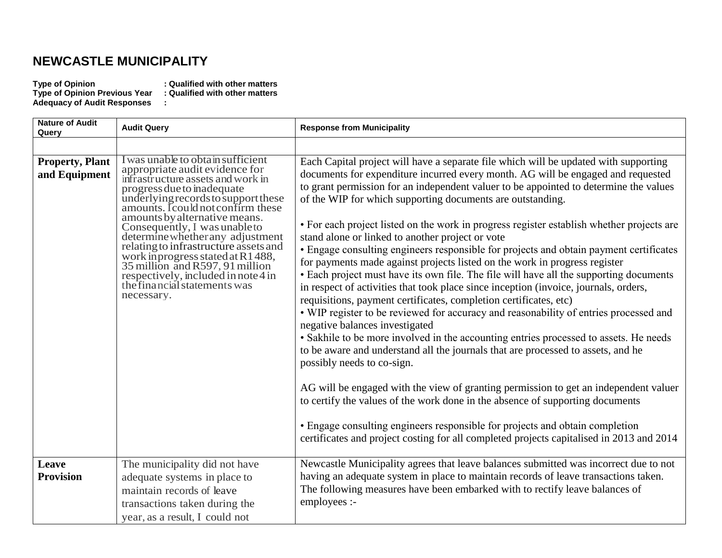## **NEWCASTLE MUNICIPALITY**

**Adequacy of Audit Responses :**

**Type of Opinion : Qualified with other matters Type of Opinion Previous Year : Qualified with other matters**

| <b>Nature of Audit</b><br>Query         | <b>Audit Query</b>                                                                                                                                                                                                                                                                                                                                                                                                                                                                                                              | <b>Response from Municipality</b>                                                                                                                                                                                                                                                                                                                                                                                                                                                                                                                                                                                                                                                                                                                                                                                                                                                                                                                                                                                                                                                                                                                                                                                                                                                                                                                                                                                                                                                                                                                                                                          |
|-----------------------------------------|---------------------------------------------------------------------------------------------------------------------------------------------------------------------------------------------------------------------------------------------------------------------------------------------------------------------------------------------------------------------------------------------------------------------------------------------------------------------------------------------------------------------------------|------------------------------------------------------------------------------------------------------------------------------------------------------------------------------------------------------------------------------------------------------------------------------------------------------------------------------------------------------------------------------------------------------------------------------------------------------------------------------------------------------------------------------------------------------------------------------------------------------------------------------------------------------------------------------------------------------------------------------------------------------------------------------------------------------------------------------------------------------------------------------------------------------------------------------------------------------------------------------------------------------------------------------------------------------------------------------------------------------------------------------------------------------------------------------------------------------------------------------------------------------------------------------------------------------------------------------------------------------------------------------------------------------------------------------------------------------------------------------------------------------------------------------------------------------------------------------------------------------------|
|                                         |                                                                                                                                                                                                                                                                                                                                                                                                                                                                                                                                 |                                                                                                                                                                                                                                                                                                                                                                                                                                                                                                                                                                                                                                                                                                                                                                                                                                                                                                                                                                                                                                                                                                                                                                                                                                                                                                                                                                                                                                                                                                                                                                                                            |
| <b>Property, Plant</b><br>and Equipment | I was unable to obtain sufficient<br>appropriate audit evidence for<br>infrastructure assets and work in<br>progress due to inadequate<br>underlying records to support these<br>amounts. I could not confirm these<br>amounts by alternative means.<br>Consequently, I was unable to<br>determine whether any adjustment<br>relating to infrastructure assets and<br>work in progress stated at R1488,<br>35 million and R597, 91 million<br>respectively, included in note 4 in<br>the financial statements was<br>necessary. | Each Capital project will have a separate file which will be updated with supporting<br>documents for expenditure incurred every month. AG will be engaged and requested<br>to grant permission for an independent valuer to be appointed to determine the values<br>of the WIP for which supporting documents are outstanding.<br>• For each project listed on the work in progress register establish whether projects are<br>stand alone or linked to another project or vote<br>• Engage consulting engineers responsible for projects and obtain payment certificates<br>for payments made against projects listed on the work in progress register<br>• Each project must have its own file. The file will have all the supporting documents<br>in respect of activities that took place since inception (invoice, journals, orders,<br>requisitions, payment certificates, completion certificates, etc)<br>• WIP register to be reviewed for accuracy and reasonability of entries processed and<br>negative balances investigated<br>• Sakhile to be more involved in the accounting entries processed to assets. He needs<br>to be aware and understand all the journals that are processed to assets, and he<br>possibly needs to co-sign.<br>AG will be engaged with the view of granting permission to get an independent valuer<br>to certify the values of the work done in the absence of supporting documents<br>• Engage consulting engineers responsible for projects and obtain completion<br>certificates and project costing for all completed projects capitalised in 2013 and 2014 |
| Leave<br><b>Provision</b>               | The municipality did not have<br>adequate systems in place to<br>maintain records of leave                                                                                                                                                                                                                                                                                                                                                                                                                                      | Newcastle Municipality agrees that leave balances submitted was incorrect due to not<br>having an adequate system in place to maintain records of leave transactions taken.<br>The following measures have been embarked with to rectify leave balances of                                                                                                                                                                                                                                                                                                                                                                                                                                                                                                                                                                                                                                                                                                                                                                                                                                                                                                                                                                                                                                                                                                                                                                                                                                                                                                                                                 |
|                                         | transactions taken during the<br>year, as a result, I could not                                                                                                                                                                                                                                                                                                                                                                                                                                                                 | employees :-                                                                                                                                                                                                                                                                                                                                                                                                                                                                                                                                                                                                                                                                                                                                                                                                                                                                                                                                                                                                                                                                                                                                                                                                                                                                                                                                                                                                                                                                                                                                                                                               |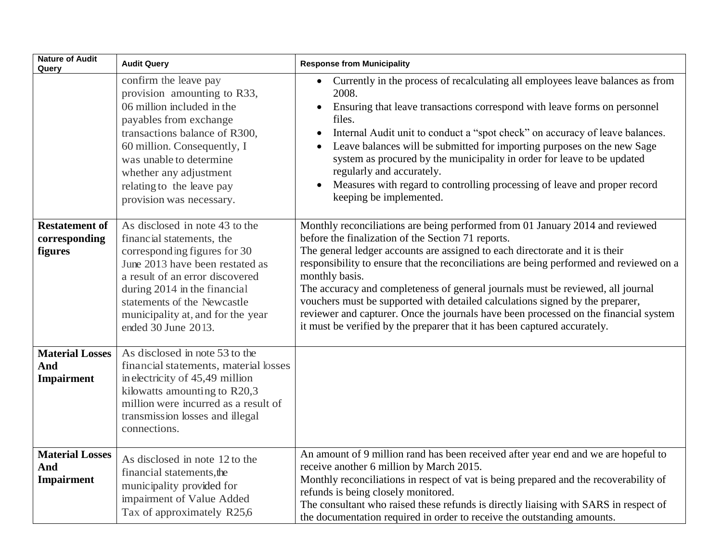| <b>Nature of Audit</b><br>Query                    | <b>Audit Query</b>                                                                                                                                                                                                                                                                           | <b>Response from Municipality</b>                                                                                                                                                                                                                                                                                                                                                                                                                                                                                                                                                                                                                                         |
|----------------------------------------------------|----------------------------------------------------------------------------------------------------------------------------------------------------------------------------------------------------------------------------------------------------------------------------------------------|---------------------------------------------------------------------------------------------------------------------------------------------------------------------------------------------------------------------------------------------------------------------------------------------------------------------------------------------------------------------------------------------------------------------------------------------------------------------------------------------------------------------------------------------------------------------------------------------------------------------------------------------------------------------------|
|                                                    | confirm the leave pay<br>provision amounting to R33,<br>06 million included in the<br>payables from exchange<br>transactions balance of R300,<br>60 million. Consequently, I<br>was unable to determine<br>whether any adjustment<br>relating to the leave pay<br>provision was necessary.   | Currently in the process of recalculating all employees leave balances as from<br>$\bullet$<br>2008.<br>Ensuring that leave transactions correspond with leave forms on personnel<br>files.<br>Internal Audit unit to conduct a "spot check" on accuracy of leave balances.<br>Leave balances will be submitted for importing purposes on the new Sage<br>system as procured by the municipality in order for leave to be updated<br>regularly and accurately.<br>Measures with regard to controlling processing of leave and proper record<br>$\bullet$<br>keeping be implemented.                                                                                       |
| <b>Restatement of</b><br>corresponding<br>figures  | As disclosed in note 43 to the<br>financial statements, the<br>corresponding figures for 30<br>June 2013 have been restated as<br>a result of an error discovered<br>during 2014 in the financial<br>statements of the Newcastle<br>municipality at, and for the year<br>ended 30 June 2013. | Monthly reconciliations are being performed from 01 January 2014 and reviewed<br>before the finalization of the Section 71 reports.<br>The general ledger accounts are assigned to each directorate and it is their<br>responsibility to ensure that the reconciliations are being performed and reviewed on a<br>monthly basis.<br>The accuracy and completeness of general journals must be reviewed, all journal<br>vouchers must be supported with detailed calculations signed by the preparer,<br>reviewer and capturer. Once the journals have been processed on the financial system<br>it must be verified by the preparer that it has been captured accurately. |
| <b>Material Losses</b><br>And<br><b>Impairment</b> | As disclosed in note 53 to the<br>financial statements, material losses<br>in electricity of 45,49 million<br>kilowatts amounting to R20,3<br>million were incurred as a result of<br>transmission losses and illegal<br>connections.                                                        |                                                                                                                                                                                                                                                                                                                                                                                                                                                                                                                                                                                                                                                                           |
| <b>Material Losses</b><br>And<br>Impairment        | As disclosed in note 12 to the<br>financial statements, the<br>municipality provided for<br>impairment of Value Added<br>Tax of approximately R25,6                                                                                                                                          | An amount of 9 million rand has been received after year end and we are hopeful to<br>receive another 6 million by March 2015.<br>Monthly reconciliations in respect of vat is being prepared and the recoverability of<br>refunds is being closely monitored.<br>The consultant who raised these refunds is directly liaising with SARS in respect of<br>the documentation required in order to receive the outstanding amounts.                                                                                                                                                                                                                                         |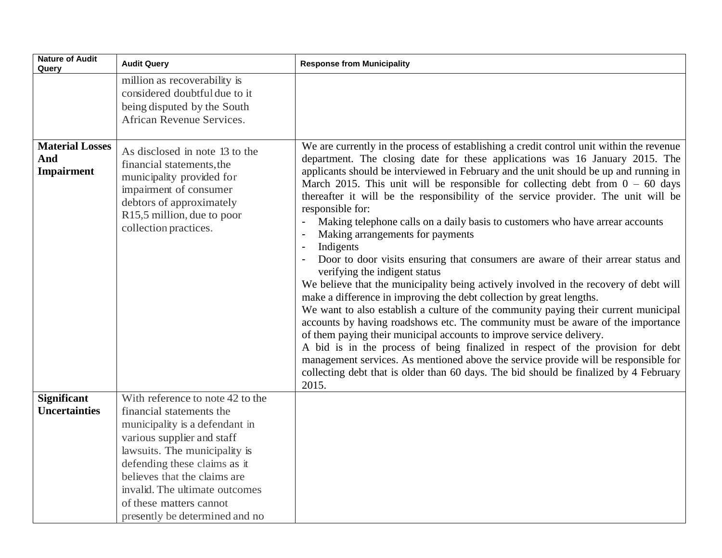| <b>Nature of Audit</b><br>Query                    | <b>Audit Query</b>                                                                                                                                                                                                                                                                                                           | <b>Response from Municipality</b>                                                                                                                                                                                                                                                                                                                                                                                                                                                                                                                                                                                                                                                                                                                                                                                                                                                                                                                                                                                                                                                                                                                                                                                                                                                                                                                                                                                     |
|----------------------------------------------------|------------------------------------------------------------------------------------------------------------------------------------------------------------------------------------------------------------------------------------------------------------------------------------------------------------------------------|-----------------------------------------------------------------------------------------------------------------------------------------------------------------------------------------------------------------------------------------------------------------------------------------------------------------------------------------------------------------------------------------------------------------------------------------------------------------------------------------------------------------------------------------------------------------------------------------------------------------------------------------------------------------------------------------------------------------------------------------------------------------------------------------------------------------------------------------------------------------------------------------------------------------------------------------------------------------------------------------------------------------------------------------------------------------------------------------------------------------------------------------------------------------------------------------------------------------------------------------------------------------------------------------------------------------------------------------------------------------------------------------------------------------------|
|                                                    | million as recoverability is<br>considered doubtful due to it<br>being disputed by the South<br>African Revenue Services.                                                                                                                                                                                                    |                                                                                                                                                                                                                                                                                                                                                                                                                                                                                                                                                                                                                                                                                                                                                                                                                                                                                                                                                                                                                                                                                                                                                                                                                                                                                                                                                                                                                       |
| <b>Material Losses</b><br>And<br><b>Impairment</b> | As disclosed in note 13 to the<br>financial statements, the<br>municipality provided for<br>impairment of consumer<br>debtors of approximately<br>R15,5 million, due to poor<br>collection practices.                                                                                                                        | We are currently in the process of establishing a credit control unit within the revenue<br>department. The closing date for these applications was 16 January 2015. The<br>applicants should be interviewed in February and the unit should be up and running in<br>March 2015. This unit will be responsible for collecting debt from $0 - 60$ days<br>thereafter it will be the responsibility of the service provider. The unit will be<br>responsible for:<br>Making telephone calls on a daily basis to customers who have arrear accounts<br>Making arrangements for payments<br>Indigents<br>Door to door visits ensuring that consumers are aware of their arrear status and<br>verifying the indigent status<br>We believe that the municipality being actively involved in the recovery of debt will<br>make a difference in improving the debt collection by great lengths.<br>We want to also establish a culture of the community paying their current municipal<br>accounts by having roadshows etc. The community must be aware of the importance<br>of them paying their municipal accounts to improve service delivery.<br>A bid is in the process of being finalized in respect of the provision for debt<br>management services. As mentioned above the service provide will be responsible for<br>collecting debt that is older than 60 days. The bid should be finalized by 4 February<br>2015. |
| <b>Significant</b><br><b>Uncertainties</b>         | With reference to note 42 to the<br>financial statements the<br>municipality is a defendant in<br>various supplier and staff<br>lawsuits. The municipality is<br>defending these claims as it<br>believes that the claims are<br>invalid. The ultimate outcomes<br>of these matters cannot<br>presently be determined and no |                                                                                                                                                                                                                                                                                                                                                                                                                                                                                                                                                                                                                                                                                                                                                                                                                                                                                                                                                                                                                                                                                                                                                                                                                                                                                                                                                                                                                       |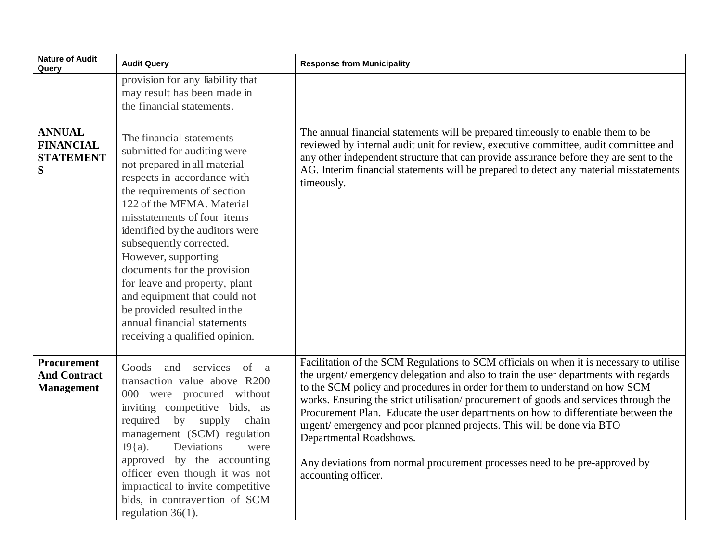| <b>Nature of Audit</b><br>Query                                | <b>Audit Query</b>                                                                                                                                                                                                                                                                                                                                                                                                                                                                                     | <b>Response from Municipality</b>                                                                                                                                                                                                                                                                                                                                                                                                                                                                                                                                                                                                                     |
|----------------------------------------------------------------|--------------------------------------------------------------------------------------------------------------------------------------------------------------------------------------------------------------------------------------------------------------------------------------------------------------------------------------------------------------------------------------------------------------------------------------------------------------------------------------------------------|-------------------------------------------------------------------------------------------------------------------------------------------------------------------------------------------------------------------------------------------------------------------------------------------------------------------------------------------------------------------------------------------------------------------------------------------------------------------------------------------------------------------------------------------------------------------------------------------------------------------------------------------------------|
|                                                                | provision for any liability that<br>may result has been made in<br>the financial statements.                                                                                                                                                                                                                                                                                                                                                                                                           |                                                                                                                                                                                                                                                                                                                                                                                                                                                                                                                                                                                                                                                       |
| <b>ANNUAL</b><br><b>FINANCIAL</b><br><b>STATEMENT</b><br>S     | The financial statements<br>submitted for auditing were<br>not prepared in all material<br>respects in accordance with<br>the requirements of section<br>122 of the MFMA. Material<br>misstatements of four items<br>identified by the auditors were<br>subsequently corrected.<br>However, supporting<br>documents for the provision<br>for leave and property, plant<br>and equipment that could not<br>be provided resulted in the<br>annual financial statements<br>receiving a qualified opinion. | The annual financial statements will be prepared timeously to enable them to be<br>reviewed by internal audit unit for review, executive committee, audit committee and<br>any other independent structure that can provide assurance before they are sent to the<br>AG. Interim financial statements will be prepared to detect any material misstatements<br>timeously.                                                                                                                                                                                                                                                                             |
| <b>Procurement</b><br><b>And Contract</b><br><b>Management</b> | Goods and services of a<br>transaction value above R200<br>000 were procured without<br>inviting competitive bids, as<br>required<br>by supply<br>chain<br>management (SCM) regulation<br>$19{a}$ .<br>Deviations<br>were<br>approved by the accounting<br>officer even though it was not<br>impractical to invite competitive<br>bids, in contravention of SCM<br>regulation $36(1)$ .                                                                                                                | Facilitation of the SCM Regulations to SCM officials on when it is necessary to utilise<br>the urgent/emergency delegation and also to train the user departments with regards<br>to the SCM policy and procedures in order for them to understand on how SCM<br>works. Ensuring the strict utilisation/procurement of goods and services through the<br>Procurement Plan. Educate the user departments on how to differentiate between the<br>urgent/emergency and poor planned projects. This will be done via BTO<br>Departmental Roadshows.<br>Any deviations from normal procurement processes need to be pre-approved by<br>accounting officer. |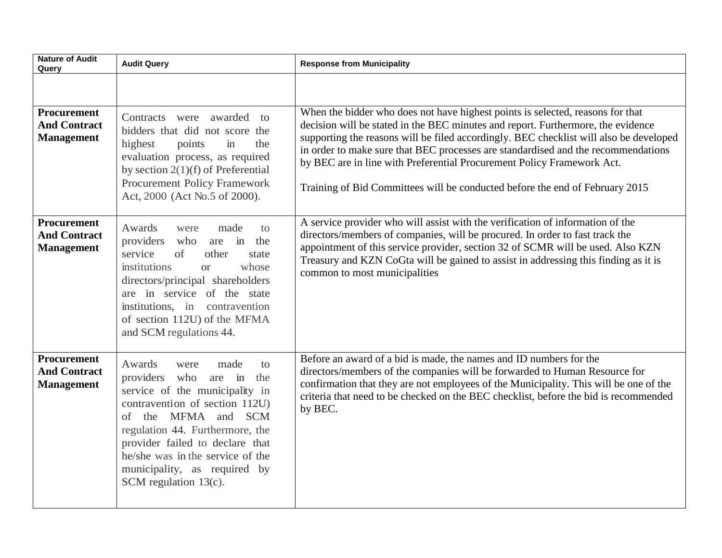| <b>Nature of Audit</b><br>Query                                | <b>Audit Query</b>                                                                                                                                                                                                                                                                                                              | <b>Response from Municipality</b>                                                                                                                                                                                                                                                                                                                                                                                                                                                                           |
|----------------------------------------------------------------|---------------------------------------------------------------------------------------------------------------------------------------------------------------------------------------------------------------------------------------------------------------------------------------------------------------------------------|-------------------------------------------------------------------------------------------------------------------------------------------------------------------------------------------------------------------------------------------------------------------------------------------------------------------------------------------------------------------------------------------------------------------------------------------------------------------------------------------------------------|
|                                                                |                                                                                                                                                                                                                                                                                                                                 |                                                                                                                                                                                                                                                                                                                                                                                                                                                                                                             |
| <b>Procurement</b><br><b>And Contract</b><br><b>Management</b> | Contracts were awarded to<br>bidders that did not score the<br>highest<br>points<br>in<br>the<br>evaluation process, as required<br>by section $2(1)(f)$ of Preferential<br><b>Procurement Policy Framework</b><br>Act, 2000 (Act No.5 of 2000).                                                                                | When the bidder who does not have highest points is selected, reasons for that<br>decision will be stated in the BEC minutes and report. Furthermore, the evidence<br>supporting the reasons will be filed accordingly. BEC checklist will also be developed<br>in order to make sure that BEC processes are standardised and the recommendations<br>by BEC are in line with Preferential Procurement Policy Framework Act.<br>Training of Bid Committees will be conducted before the end of February 2015 |
| Procurement<br><b>And Contract</b><br><b>Management</b>        | Awards<br>made<br>were<br>to<br>providers<br>are in the<br>who<br>service<br>of<br>other<br>state<br>institutions<br>whose<br><b>or</b><br>directors/principal shareholders<br>are in service of the state<br>institutions, in contravention<br>of section 112U) of the MFMA<br>and SCM regulations 44.                         | A service provider who will assist with the verification of information of the<br>directors/members of companies, will be procured. In order to fast track the<br>appointment of this service provider, section 32 of SCMR will be used. Also KZN<br>Treasury and KZN CoGta will be gained to assist in addressing this finding as it is<br>common to most municipalities                                                                                                                                   |
| <b>Procurement</b><br><b>And Contract</b><br><b>Management</b> | Awards<br>were<br>made<br>to<br>providers who<br>are in<br>the<br>service of the municipality in<br>contravention of section 112U)<br>of the MFMA and SCM<br>regulation 44. Furthermore, the<br>provider failed to declare that<br>he/she was in the service of the<br>municipality, as required by<br>SCM regulation $13(c)$ . | Before an award of a bid is made, the names and ID numbers for the<br>directors/members of the companies will be forwarded to Human Resource for<br>confirmation that they are not employees of the Municipality. This will be one of the<br>criteria that need to be checked on the BEC checklist, before the bid is recommended<br>by BEC.                                                                                                                                                                |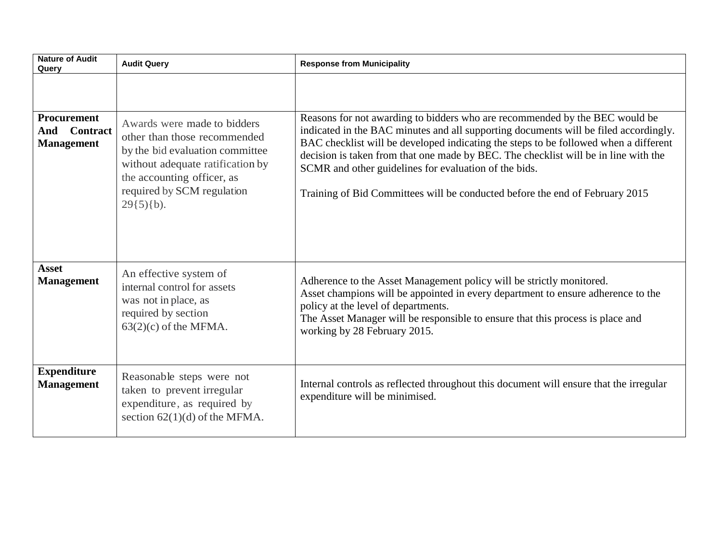| <b>Nature of Audit</b><br>Query                            | <b>Audit Query</b>                                                                                                                                                                                             | <b>Response from Municipality</b>                                                                                                                                                                                                                                                                                                                                                                                                                                                           |  |
|------------------------------------------------------------|----------------------------------------------------------------------------------------------------------------------------------------------------------------------------------------------------------------|---------------------------------------------------------------------------------------------------------------------------------------------------------------------------------------------------------------------------------------------------------------------------------------------------------------------------------------------------------------------------------------------------------------------------------------------------------------------------------------------|--|
| Procurement<br><b>Contract</b><br>And<br><b>Management</b> | Awards were made to bidders<br>other than those recommended<br>by the bid evaluation committee<br>without adequate ratification by<br>the accounting officer, as<br>required by SCM regulation<br>$29(5)(b)$ . | Reasons for not awarding to bidders who are recommended by the BEC would be<br>indicated in the BAC minutes and all supporting documents will be filed accordingly.<br>BAC checklist will be developed indicating the steps to be followed when a different<br>decision is taken from that one made by BEC. The checklist will be in line with the<br>SCMR and other guidelines for evaluation of the bids.<br>Training of Bid Committees will be conducted before the end of February 2015 |  |
| <b>Asset</b><br><b>Management</b>                          | An effective system of<br>internal control for assets<br>was not in place, as<br>required by section<br>$63(2)(c)$ of the MFMA.                                                                                | Adherence to the Asset Management policy will be strictly monitored.<br>Asset champions will be appointed in every department to ensure adherence to the<br>policy at the level of departments.<br>The Asset Manager will be responsible to ensure that this process is place and<br>working by 28 February 2015.                                                                                                                                                                           |  |
| <b>Expenditure</b><br><b>Management</b>                    | Reasonable steps were not<br>taken to prevent irregular<br>expenditure, as required by<br>section $62(1)(d)$ of the MFMA.                                                                                      | Internal controls as reflected throughout this document will ensure that the irregular<br>expenditure will be minimised.                                                                                                                                                                                                                                                                                                                                                                    |  |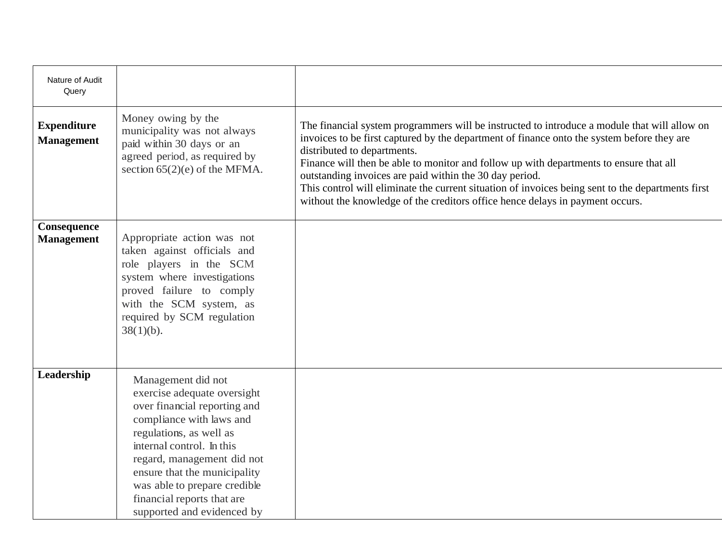| Nature of Audit<br>Query                |                                                                                                                                                                                                                                                                                                                                 |                                                                                                                                                                                                                                                                                                                                                                                                                                                                                                                                                                      |
|-----------------------------------------|---------------------------------------------------------------------------------------------------------------------------------------------------------------------------------------------------------------------------------------------------------------------------------------------------------------------------------|----------------------------------------------------------------------------------------------------------------------------------------------------------------------------------------------------------------------------------------------------------------------------------------------------------------------------------------------------------------------------------------------------------------------------------------------------------------------------------------------------------------------------------------------------------------------|
| <b>Expenditure</b><br><b>Management</b> | Money owing by the<br>municipality was not always<br>paid within 30 days or an<br>agreed period, as required by<br>section $65(2)(e)$ of the MFMA.                                                                                                                                                                              | The financial system programmers will be instructed to introduce a module that will allow on<br>invoices to be first captured by the department of finance onto the system before they are<br>distributed to departments.<br>Finance will then be able to monitor and follow up with departments to ensure that all<br>outstanding invoices are paid within the 30 day period.<br>This control will eliminate the current situation of invoices being sent to the departments first<br>without the knowledge of the creditors office hence delays in payment occurs. |
| Consequence<br><b>Management</b>        | Appropriate action was not<br>taken against officials and<br>role players in the SCM<br>system where investigations<br>proved failure to comply<br>with the SCM system, as<br>required by SCM regulation<br>$38(1)(b)$ .                                                                                                        |                                                                                                                                                                                                                                                                                                                                                                                                                                                                                                                                                                      |
| Leadership                              | Management did not<br>exercise adequate oversight<br>over financial reporting and<br>compliance with laws and<br>regulations, as well as<br>internal control. In this<br>regard, management did not<br>ensure that the municipality<br>was able to prepare credible<br>financial reports that are<br>supported and evidenced by |                                                                                                                                                                                                                                                                                                                                                                                                                                                                                                                                                                      |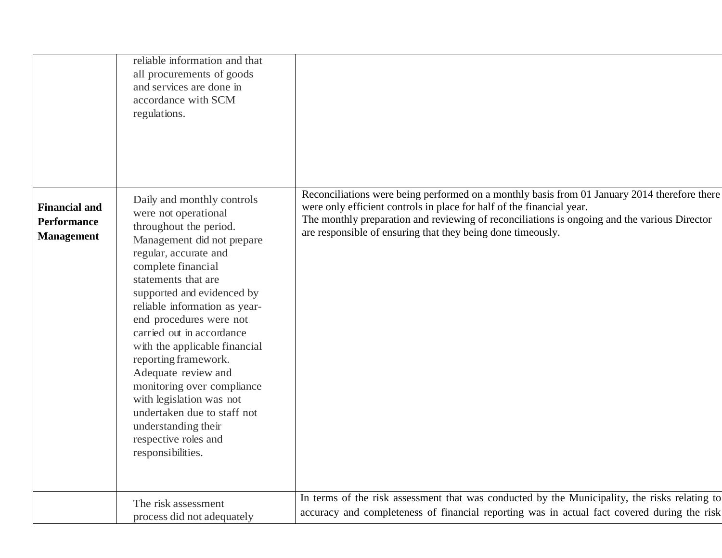|                                                                 | reliable information and that<br>all procurements of goods<br>and services are done in<br>accordance with SCM<br>regulations.                                                                                                                                                                                                                                                                                                                                                                                                                        |                                                                                                                                                                                                                                                                                                                                      |
|-----------------------------------------------------------------|------------------------------------------------------------------------------------------------------------------------------------------------------------------------------------------------------------------------------------------------------------------------------------------------------------------------------------------------------------------------------------------------------------------------------------------------------------------------------------------------------------------------------------------------------|--------------------------------------------------------------------------------------------------------------------------------------------------------------------------------------------------------------------------------------------------------------------------------------------------------------------------------------|
| <b>Financial and</b><br><b>Performance</b><br><b>Management</b> | Daily and monthly controls<br>were not operational<br>throughout the period.<br>Management did not prepare<br>regular, accurate and<br>complete financial<br>statements that are<br>supported and evidenced by<br>reliable information as year-<br>end procedures were not<br>carried out in accordance<br>with the applicable financial<br>reporting framework.<br>Adequate review and<br>monitoring over compliance<br>with legislation was not<br>undertaken due to staff not<br>understanding their<br>respective roles and<br>responsibilities. | Reconciliations were being performed on a monthly basis from 01 January 2014 therefore there<br>were only efficient controls in place for half of the financial year.<br>The monthly preparation and reviewing of reconciliations is ongoing and the various Director<br>are responsible of ensuring that they being done timeously. |
|                                                                 | The risk assessment<br>process did not adequately                                                                                                                                                                                                                                                                                                                                                                                                                                                                                                    | In terms of the risk assessment that was conducted by the Municipality, the risks relating to<br>accuracy and completeness of financial reporting was in actual fact covered during the risk                                                                                                                                         |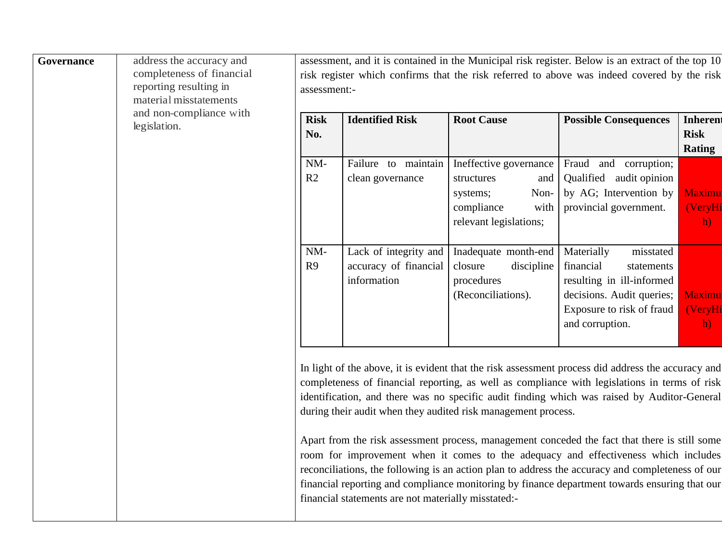| Governance | address the accuracy and<br>completeness of financial<br>reporting resulting in<br>material misstatements | assessment, and it is contained in the Municipal risk register. Below is an extract of the top 10<br>risk register which confirms that the risk referred to above was indeed covered by the risk<br>assessment:- |                                                               |                                                                                                                 |                                                                                                                                                                                                                                                                                                                                                                                           |                                          |
|------------|-----------------------------------------------------------------------------------------------------------|------------------------------------------------------------------------------------------------------------------------------------------------------------------------------------------------------------------|---------------------------------------------------------------|-----------------------------------------------------------------------------------------------------------------|-------------------------------------------------------------------------------------------------------------------------------------------------------------------------------------------------------------------------------------------------------------------------------------------------------------------------------------------------------------------------------------------|------------------------------------------|
|            | and non-compliance with<br>legislation.                                                                   | <b>Risk</b><br>No.                                                                                                                                                                                               | <b>Identified Risk</b>                                        | <b>Root Cause</b>                                                                                               | <b>Possible Consequences</b>                                                                                                                                                                                                                                                                                                                                                              | Inherent<br><b>Risk</b><br><b>Rating</b> |
|            |                                                                                                           | $NM-$<br>R2                                                                                                                                                                                                      | Failure to maintain<br>clean governance                       | Ineffective governance<br>and<br>structures<br>Non-<br>systems;<br>compliance<br>with<br>relevant legislations; | Fraud and corruption;<br>Qualified audit opinion<br>by AG; Intervention by<br>provincial government.                                                                                                                                                                                                                                                                                      | <b>Maximu</b><br>(VeryHi<br>h)           |
|            |                                                                                                           | $NM-$<br>R9                                                                                                                                                                                                      | Lack of integrity and<br>accuracy of financial<br>information | Inadequate month-end<br>closure<br>discipline<br>procedures<br>(Reconciliations).                               | Materially<br>misstated<br>financial<br>statements<br>resulting in ill-informed<br>decisions. Audit queries;<br>Exposure to risk of fraud<br>and corruption.                                                                                                                                                                                                                              | <b>Maximu</b><br>(VeryHi<br>h)           |
|            |                                                                                                           |                                                                                                                                                                                                                  |                                                               | during their audit when they audited risk management process.                                                   | In light of the above, it is evident that the risk assessment process did address the accuracy and<br>completeness of financial reporting, as well as compliance with legislations in terms of risk<br>identification, and there was no specific audit finding which was raised by Auditor-General                                                                                        |                                          |
|            |                                                                                                           |                                                                                                                                                                                                                  | financial statements are not materially misstated:-           |                                                                                                                 | Apart from the risk assessment process, management conceded the fact that there is still some<br>room for improvement when it comes to the adequacy and effectiveness which includes<br>reconciliations, the following is an action plan to address the accuracy and completeness of our<br>financial reporting and compliance monitoring by finance department towards ensuring that our |                                          |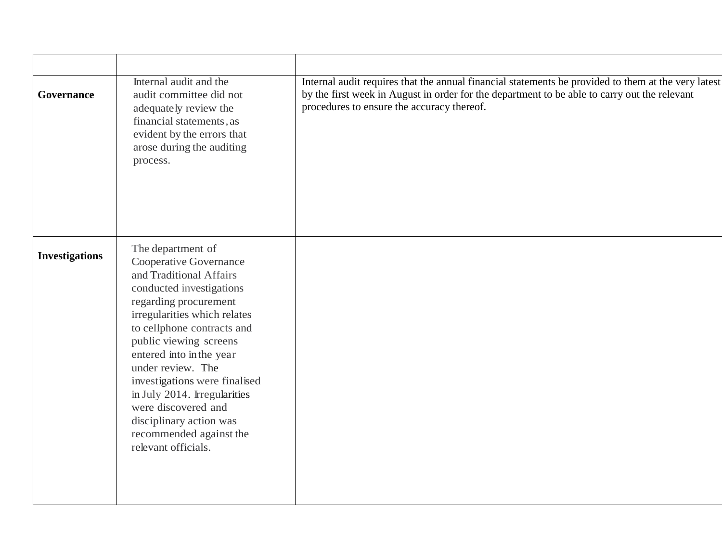| Governance            | Internal audit and the<br>audit committee did not<br>adequately review the<br>financial statements, as<br>evident by the errors that<br>arose during the auditing<br>process.                                                                                                                                                                                                                                                             | Internal audit requires that the annual financial statements be provided to them at the very latest<br>by the first week in August in order for the department to be able to carry out the relevant<br>procedures to ensure the accuracy thereof. |
|-----------------------|-------------------------------------------------------------------------------------------------------------------------------------------------------------------------------------------------------------------------------------------------------------------------------------------------------------------------------------------------------------------------------------------------------------------------------------------|---------------------------------------------------------------------------------------------------------------------------------------------------------------------------------------------------------------------------------------------------|
| <b>Investigations</b> | The department of<br>Cooperative Governance<br>and Traditional Affairs<br>conducted investigations<br>regarding procurement<br>irregularities which relates<br>to cellphone contracts and<br>public viewing screens<br>entered into in the year<br>under review. The<br>investigations were finalised<br>in July 2014. Irregularities<br>were discovered and<br>disciplinary action was<br>recommended against the<br>relevant officials. |                                                                                                                                                                                                                                                   |